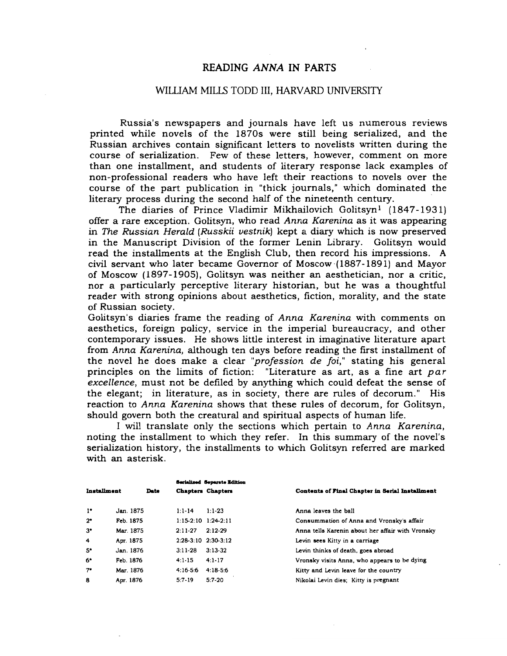# READING ANNA IN PARTS

## WILLIAM MILLS TODD III, HARVARD UNIVERSITY

Russia's newspapers and journals have left us numerous reviews printed while novels of the 1870s were still being serialized, and the Russian archives contain significant letters to novelists written during the course of serialization. Few of these letters, however, comment on more than one installment, and students of literary response lack examples of non-professional readers who have left their reactions to novels over the course of the part publication in "thick journals," which dominated the literary process during the second half of the nineteenth century. .

The diaries of Prince Vladimir Mikhailovich Golitsyn<sup>1</sup> (1847-1931) offer a rare exception. Golitsyn, who read *Anna Karenina* as it was appearing in *The Russian Herald (Russkii vestnik)* kept a diary which is now preserved in the Manuscript Division of the former Lenin Library. Golitsyn would read the installments at the English Club, then record his impressions. A civil servant who later became Governor of Moscow·(1887-1891) and Mayor of Moscow (1897-1905), Golitsyn was neither an aesthetician, nor a critic, nor a particularly perceptive literary historian, but he was a thoughtful reader with strong opinions about aesthetics, fiction, morality, and the state of Russian society.

Golitsyn's diaries frame the reading of *Anna Karenina* with comments on aesthetics, foreign policy, service in the imperial bureaucracy, and other ·contemporary issues. He shows little interest in imaginative literature apart from *Anna Karenina*, although ten days before reading the first installment of the novel he does make a clear *"profession* de *foi,"* stating his general principles on the limits of fiction: "Literature as art, as a fine art *par excellence,* must not be defiled by anything which could defeat the sense of the elegant; in literature, as in society, there are rules of decorum." His reaction to *Anna Karenina* shows that these rules of decorum, for Golitsyn, should govern both the creatural and spiritual aspects of human life.

I will translate only the sections which pertain to *Anna Karenina,* noting the installment to which they refer. In this summary of the novel's serialization history, the installments to which Golitsyn referred are marked with an asterisk.

|               |           |      |                          | Serialized Separate Edition |                                                  |
|---------------|-----------|------|--------------------------|-----------------------------|--------------------------------------------------|
| Installment   |           | Date | <b>Chapters Chapters</b> |                             | Contents of Final Chapter in Serial Installment  |
| $1^{\bullet}$ |           |      |                          |                             | Anna leaves the ball                             |
|               | Jan. 1875 |      | $1:1-14$                 | $1:1-23$                    |                                                  |
| $2^*$         | Feb. 1875 |      | $1:15-2:10$ $1:24-2:11$  |                             | Consummation of Anna and Vronsky's affair        |
| $3^*$         | Mar. 1875 |      | $2:11-27$                | $2:12-29$                   | Anna tells Karenin about her affair with Vronsky |
| 4             | Apr. 1875 |      | $2:28-3:10$ $2:30-3:12$  |                             | Levin sees Kitty in a carriage                   |
| 5*            | Jan. 1876 |      | $3:11-28$                | $3:13-32$                   | Levin thinks of death, goes abroad               |
| 6*            | Feb. 1876 |      | $4:1-15$                 | $4:1-17$                    | Vronsky visits Anna, who appears to be dying     |
| $7^{\bullet}$ | Mar. 1876 |      | $4:16 - 5:6$             | $4:18-5:6$                  | Kitty and Levin leave for the country            |
| 8             | Apr. 1876 |      | $5:7-19$                 | $5:7-20$                    | Nikolai Levin dies: Kitty is pregnant            |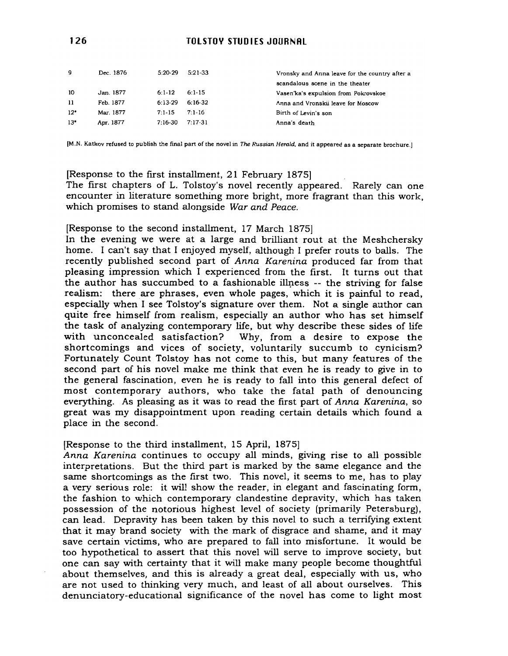| 9     | Dec. 1876 | $5:20-29$ | $5:21-33$  | Vronsky and Anna leave for the country after a |
|-------|-----------|-----------|------------|------------------------------------------------|
|       |           |           |            | scandalous scene in the theater                |
| 10    | Jan. 1877 | $6:1-12$  | $6:1-15$   | Vasen'ka's expulsion from Pokrovskoe           |
| 11    | Feb. 1877 | $6:13-29$ | $6:16-32$  | Anna and Vronskii leave for Moscow             |
| $12*$ | Mar. 1877 | $7:1-15$  | $7:1 - 16$ | Birth of Levin's son                           |
| $13*$ | Apr. 1877 | $7:16-30$ | $7:17-31$  | Anna's death                                   |
|       |           |           |            |                                                |

(M.N. Katkov refused to publish the final part of the novel in The *Russian* Herald, and it appeared as a separate brochure.]

[Response to the first installment, 21 February 1875]

The first chapters of L. Tolstoy's novel recently appeared. Rarely can one encounter in literature something more bright, more fragrant than this work, which promises to stand alongside War and Peace.

#### [Response to the second installment, 17 March 1875]

In the evening we were at a large and brilliant rout at the Meshchersky home. I can't say that I enjoyed myself, although I prefer routs to balls. The recently published second part of Anna Karenina produced far from that pleasing impression which I experienced from the first. It turns out that the author has succumbed to a fashionable illness -- the striving for false realism: there are phrases, even whole pages, which it is painful to read, especially when I see Tolstoy's signature over them. Not a single author can quite free himself from realism, especially an author who has set himself the task of analyzing contemporary life, but why describe these sides of life with unconcealed satisfaction? Why, from a desire to expose the shortcomings and vices of society, voluntarily succumb to cynicism? Fortunately Count Tolstoy has not come to this, but many features of the second part of his novel make me think that even he is ready to give in to the general fascination, even he is ready to fall into this general defect of most contemporary authors, who take the fatal path of denouncing everything. As pleasing as it was to read the first part of Anna Karenina, so great was my disappointment upon reading certain details which found a place in the second.

## [Response to the third installment, 15 April, 1875]

Anna Karenina continues to occupy all minds, giving rise to all possible interpretations. But the third part is marked by the same elegance and the same shortcomings as the first two. This novel, it seems to me, has to play a very serious role: it will show the reader, in elegant and fascinating form, the fashion to which contemporary clandestine depravity, which has taken possession of the notorious highest level of society (primarily Petersburg), can lead. Depravity has been taken by this novel to such a terrifying extent that it may brand society with the mark of disgrace and shame, and it may save certain victims, who are prepared to fall into misfortune. It would be too hypothetical to assert that this novel will serve to improve society, but one can say with certainty that it will make many people become thoughtful about themselves, and this is already a great deal, especially with us, who are not used to thinking very much, and least of all about ourselves. This denunciatory-educational significance of the novel has come to light most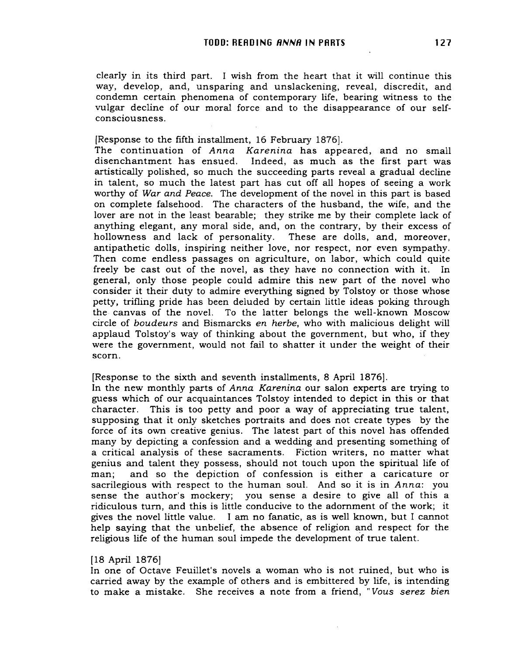clearly in its third part. I wish from the heart that it will continue this way, develop, and, unsparing and unslackening, reveal, discredit, and condemn certain phenomena of contemporary life, bearing witness to the vulgar decline of our moral force and to the disappearance of our selfconsciousness.

[Response to the fifth installment, 16 February 1876].

The continuation of Anna Karenina has appeared, and no small disenchantment has ensued. Indeed, as much as the first part was artistically polished, so much the succeeding parts reveal a gradual decline in talent, so much the latest part has cut off all hopes of seeing a work worthy of War and Peace. The development of the novel in this part is based on complete falsehood. The characters of the husband, the wife, and the lover are not in the least bearable; they strike me by their complete lack of anything elegant, any moral side, and, on the contrary, by their excess of hollowness and lack of personality. These are dolls, and, moreover, antipathetic dolls, inspiring neither love, nor respect, nor even sympathy. Then come endless passages on agriculture, on labor, which could quite freely be cast out of the novel, as they have no connection with it. In general, only those people could admire this new part of the novel who consider it their duty to admire everything signed by Tolstoy or those whose petty, trifling pride has been deluded by certain little ideas poking through the, canvas of the novel. To the latter belongs the well-known Moscow circle of boudeurs and Bismarcks en herbe, who with malicious delight will applaud Tolstoy's way of thinking about the government, but who, if they were the government, would not fail to shatter it under the weight of their scorn.

[Response to the sixth and seventh installments, 8 April 1876].

In the new monthly parts of Anna Karenina our salon experts are trying to guess which of our acquaintances Tolstoy intended to depict in this or that character. This is too petty and poor a way of appreciating true talent, supposing that it only sketches portraits and does not create types by the force of its own creative genius. The latest part of this novel has offended many by depicting a confession and a wedding and presenting something of a critical analysis of these sacraments. Fiction writers, no matter what genius and talent they possess, should not touch upon the spiritual life of man; and so the depiction of confession is either a caricature or sacrilegious with respect to the human soul. And so it is in Anna: you sense the author's mockery; you sense a desire to give all of this a ridiculous turn, and this is little conducive to the adornment of the work; it gives the novel little value. I am no fanatic, as is well known, but I cannot help saying that the unbelief, the absence of religion and respect for the religious life of the human soul impede the development of true talent.

[18 April 1876]

In one of Octave Feuillet's novels a woman who is not ruined, but who is carried away by the example of others and is embittered by life, is intending to make a mistake. She receives a note from a friend, "Vous serez bien